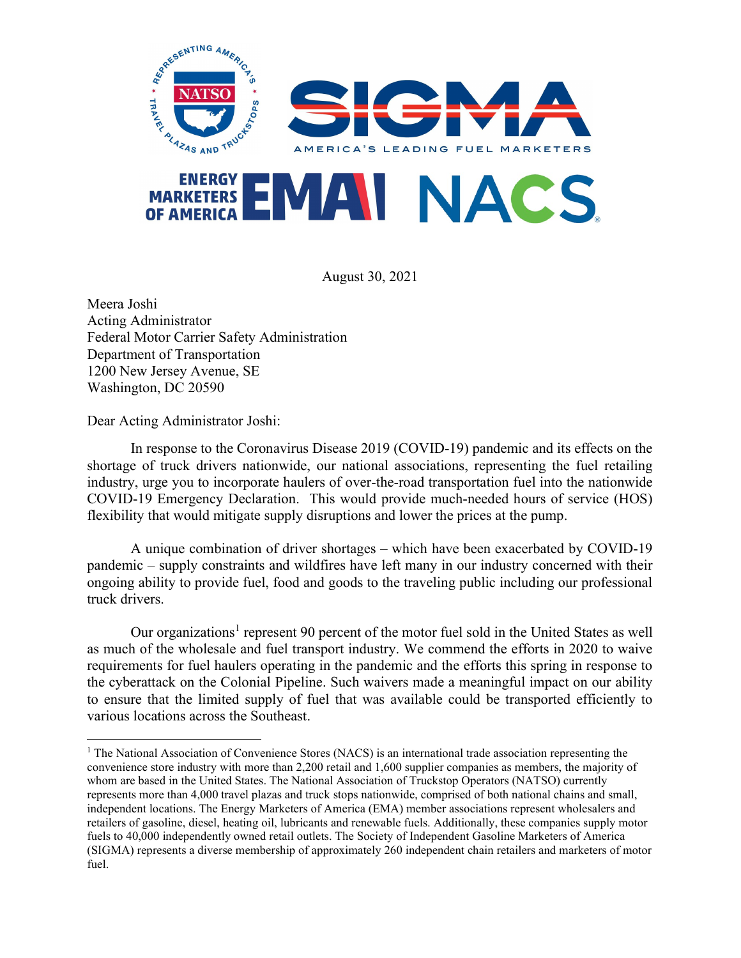

August 30, 2021

Meera Joshi Acting Administrator Federal Motor Carrier Safety Administration Department of Transportation 1200 New Jersey Avenue, SE Washington, DC 20590

Dear Acting Administrator Joshi:

In response to the Coronavirus Disease 2019 (COVID-19) pandemic and its effects on the shortage of truck drivers nationwide, our national associations, representing the fuel retailing industry, urge you to incorporate haulers of over-the-road transportation fuel into the nationwide COVID-19 Emergency Declaration. This would provide much-needed hours of service (HOS) flexibility that would mitigate supply disruptions and lower the prices at the pump.

A unique combination of driver shortages – which have been exacerbated by COVID-19 pandemic – supply constraints and wildfires have left many in our industry concerned with their ongoing ability to provide fuel, food and goods to the traveling public including our professional truck drivers.

Our organizations<sup>1</sup> represent 90 percent of the motor fuel sold in the United States as well as much of the wholesale and fuel transport industry. We commend the efforts in 2020 to waive requirements for fuel haulers operating in the pandemic and the efforts this spring in response to the cyberattack on the Colonial Pipeline. Such waivers made a meaningful impact on our ability to ensure that the limited supply of fuel that was available could be transported efficiently to various locations across the Southeast.

<sup>&</sup>lt;sup>1</sup> The National Association of Convenience Stores (NACS) is an international trade association representing the convenience store industry with more than 2,200 retail and 1,600 supplier companies as members, the majority of whom are based in the United States. The National Association of Truckstop Operators (NATSO) currently represents more than 4,000 travel plazas and truck stops nationwide, comprised of both national chains and small, independent locations. The Energy Marketers of America (EMA) member associations represent wholesalers and retailers of gasoline, diesel, heating oil, lubricants and renewable fuels. Additionally, these companies supply motor fuels to 40,000 independently owned retail outlets. The Society of Independent Gasoline Marketers of America (SIGMA) represents a diverse membership of approximately 260 independent chain retailers and marketers of motor fuel.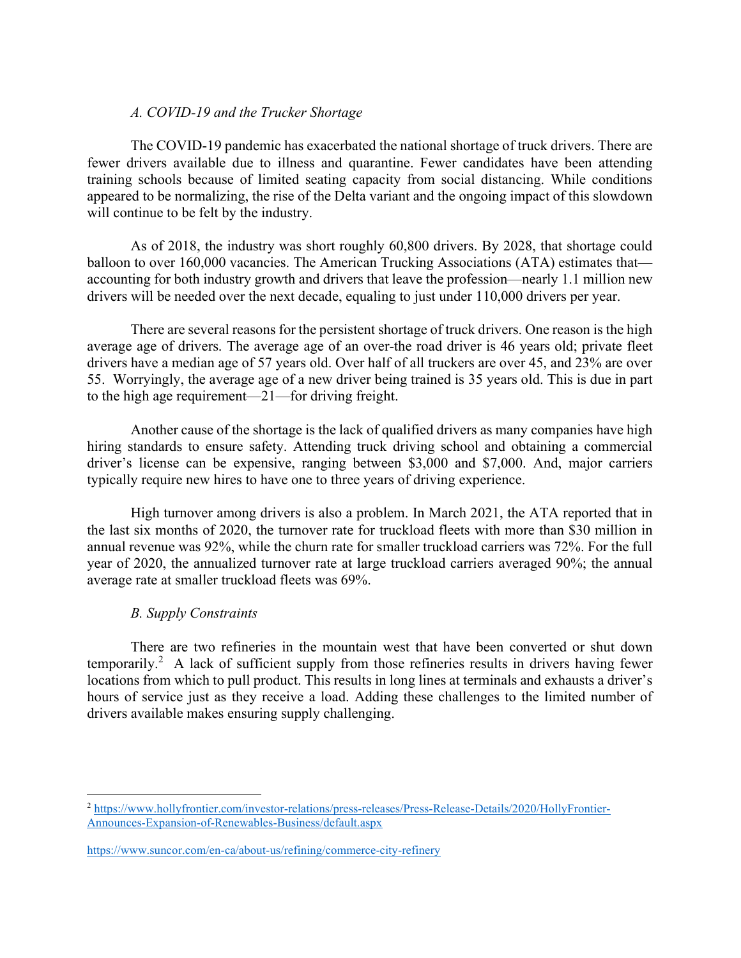## A. COVID-19 and the Trucker Shortage

The COVID-19 pandemic has exacerbated the national shortage of truck drivers. There are fewer drivers available due to illness and quarantine. Fewer candidates have been attending training schools because of limited seating capacity from social distancing. While conditions appeared to be normalizing, the rise of the Delta variant and the ongoing impact of this slowdown will continue to be felt by the industry.

As of 2018, the industry was short roughly 60,800 drivers. By 2028, that shortage could balloon to over 160,000 vacancies. The American Trucking Associations (ATA) estimates that accounting for both industry growth and drivers that leave the profession—nearly 1.1 million new drivers will be needed over the next decade, equaling to just under 110,000 drivers per year.

There are several reasons for the persistent shortage of truck drivers. One reason is the high average age of drivers. The average age of an over-the road driver is 46 years old; private fleet drivers have a median age of 57 years old. Over half of all truckers are over 45, and 23% are over 55. Worryingly, the average age of a new driver being trained is 35 years old. This is due in part to the high age requirement—21—for driving freight.

Another cause of the shortage is the lack of qualified drivers as many companies have high hiring standards to ensure safety. Attending truck driving school and obtaining a commercial driver's license can be expensive, ranging between \$3,000 and \$7,000. And, major carriers typically require new hires to have one to three years of driving experience.

High turnover among drivers is also a problem. In March 2021, the ATA reported that in the last six months of 2020, the turnover rate for truckload fleets with more than \$30 million in annual revenue was 92%, while the churn rate for smaller truckload carriers was 72%. For the full year of 2020, the annualized turnover rate at large truckload carriers averaged 90%; the annual average rate at smaller truckload fleets was 69%.

# B. Supply Constraints

 There are two refineries in the mountain west that have been converted or shut down temporarily.<sup>2</sup> A lack of sufficient supply from those refineries results in drivers having fewer locations from which to pull product. This results in long lines at terminals and exhausts a driver's hours of service just as they receive a load. Adding these challenges to the limited number of drivers available makes ensuring supply challenging.

<sup>2</sup> https://www.hollyfrontier.com/investor-relations/press-releases/Press-Release-Details/2020/HollyFrontier-Announces-Expansion-of-Renewables-Business/default.aspx

https://www.suncor.com/en-ca/about-us/refining/commerce-city-refinery